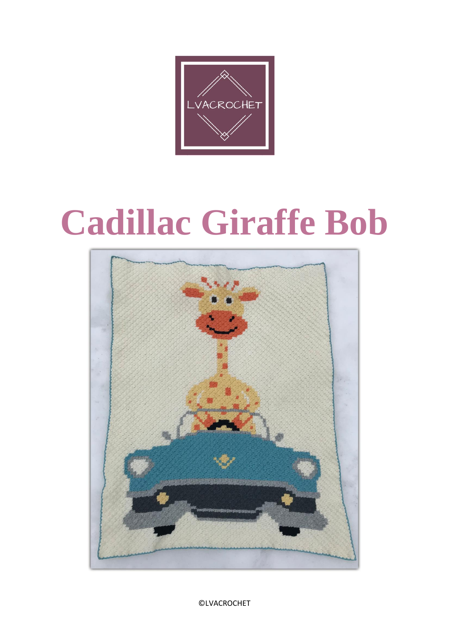

# **Cadillac Giraffe Bob**



©LVACROCHET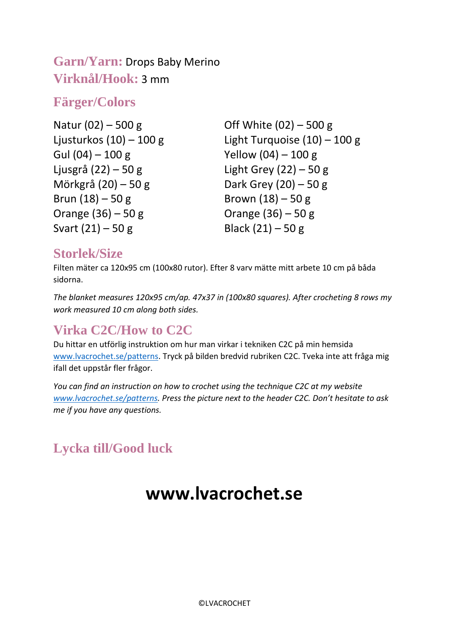#### **Garn/Yarn:** Drops Baby Merino **Virknål/Hook:** 3 mm

#### **Färger/Colors**

Off White (02) – 500 g Light Turquoise (10) – 100 g Yellow (04) – 100 g Light Grey  $(22) - 50$  g Dark Grey (20) – 50 g Brown  $(18) - 50$  g Orange (36) – 50 g Black  $(21) - 50$  g

#### **Storlek/Size**

Filten mäter ca 120x95 cm (100x80 rutor). Efter 8 varv mätte mitt arbete 10 cm på båda sidorna.

*The blanket measures 120x95 cm/ap. 47x37 in (100x80 squares). After crocheting 8 rows my work measured 10 cm along both sides.*

### **Virka C2C/How to C2C**

Du hittar en utförlig instruktion om hur man virkar i tekniken C2C på min hemsida [www.lvacrochet.se/patterns.](http://www.lvacrochet.se/patterns) Tryck på bilden bredvid rubriken C2C. Tveka inte att fråga mig ifall det uppstår fler frågor.

*You can find an instruction on how to crochet using the technique C2C at my website [www.lvacrochet.se/patterns](http://www.lvacrochet.se/patterns). Press the picture next to the header C2C. Don't hesitate to ask me if you have any questions.* 

## **Lycka till/Good luck**

# **www.lvacrochet.se**